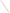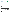## **ENVIRONMENTAL TECHNOLOGY VERIFICATION**









**Battelle** The Business of Innovation

# **ETV Joint Verification Statement**

|                           | <b>TECHNOLOGY TYPE:</b> Passive Groundwater Sampling                                                                  |                             |  |
|---------------------------|-----------------------------------------------------------------------------------------------------------------------|-----------------------------|--|
| <b>APPLICATION:</b>       | Sampling and analysis of volatile organic compounds in<br>contaminated groundwater                                    |                             |  |
| <b>PRODUCT NAME:</b>      | Sorbisense groundwater sampling system with samplers for<br>volatile organic compounds and including sampler analysis |                             |  |
| <b>COMPANY:</b>           | Sorbisense A/S                                                                                                        |                             |  |
| <b>ADDRESS:</b>           | Niels Pedersens Allé 2<br>DK-8830 Tjele, Denmark                                                                      | <b>PHONE:</b> $+4589992505$ |  |
| <b>WEB SITE:</b>          | www.sorbisense.dk                                                                                                     |                             |  |
| $E\text{-}{M}\text{A}IL:$ | hubert@sorbisense.com                                                                                                 |                             |  |

Verification and tests of a passive groundwater sampler were conducted as a joint verification between the Nordic Water Technology Verification Centers (NOWATECH ETV) and the United States Environmental Protection Agency (US EPA) Environmental Technology Verification Program (US ETV). The verification and tests satisfied the requirements of the US ETV program and ETV scheme currently being established by the European Union (EU ETV).

The US ETV Program was established to facilitate the deployment of innovative or improved environmental technologies through performance verification and dissemination of information. The goal of US ETV is to further environmental protection by accelerating the acceptance and use of improved and cost-effective technologies. US ETV seeks to achieve this goal by providing highquality, peer-reviewed data on technology performance to those involved in the design, distribution, financing, permitting, purchase, and use of environmental technologies. Information and US ETV documents are available at www.epa.gov/etv.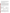NOWATECH was established and supported by the Nordic Innovation Centre, Nordic Council of Ministers to provide environmental technology verification for Nordic vendors of innovative water technologies. Information and NOWATECH ETV documents are available at www.etvnord.org.

DHI as NOWATECH Water Monitoring ETV Center (NOWATECH WMC) performed the verification and tests in collaboration with the ETV Advanced Monitoring Systems (AMS) Center, managed by Battelle through a cooperative agreement with the US EPA.

# **VERIFICATION AND TEST DESCRIPTION**

The verification and tests of the Sorbisense ground water sampler were conducted from January to April 2009. DHI personnel, with the participation of the vendor, Sorbisense, coordinated and supervised the day-to-day operations of the verification and tests. The testing took place in the DHI laboratories, Hørsholm, Denmark and in the field in the Copenhagen area, Denmark. DHI operated the samplers during the verification. Sorbisense provided the product (sampling systems, the samplers and the analysis of samplers), user manuals, and operation instructions for the tests. Battelle and DHI jointly produced the verification protocol, test and QA plan, process document and report document including this Verification Statement with input from Sorbisense and an expert group.

Four test scales were used as outlined in the Test Plan below. Each scale provided information on specified performance parameters, with the smallest scale possible chosen for each parameter to maintain simplicity and controlled conditions in the tests.

|                                                                        | Laboratory                                                                                              | <b>Standpipe</b>                                 | Field                                                   |  |
|------------------------------------------------------------------------|---------------------------------------------------------------------------------------------------------|--------------------------------------------------|---------------------------------------------------------|--|
| <b>Direct application</b>                                              | <b>Dispenser</b>                                                                                        |                                                  |                                                         |  |
| Limit of detection: chloroethene,<br>best possible <sup>1</sup>        | None                                                                                                    | Limit of detection                               | None                                                    |  |
| Precision (repeatability):<br>chloroethene, best possible <sup>1</sup> | None                                                                                                    | Precision (repeatability<br>and reproducibility) | Precision<br>(reproducibility)                          |  |
| Trueness: chloroethene.<br>best possible <sup>1</sup>                  | None                                                                                                    | Trueness                                         | None                                                    |  |
| None                                                                   | None                                                                                                    | Range of application                             | None                                                    |  |
| None                                                                   | Robustness, sampling time,<br>groundwater ionic strength,<br>concentration variation and<br>integration | Robustness, sampling<br>depth                    | General robustness                                      |  |
| None                                                                   | None                                                                                                    | None                                             | Robustness,<br>frequency of<br>discrepancy <sup>2</sup> |  |

#### **Test Plan**

 $1$  The determination of performance parameters from the direct application test only included the sorbent.

 $2$  Positive discrepancy: sampler finds measurable concentration when average of reference samples are below the sampler limit of detection. Negative discrepancy: sampler does not find measurable concentration when average of the reference samples are above sampler limit of detection.

The laboratory tests involved direct application of standard solution to the samplers or exposure of samplers to spiked water from a sample dispenser, without the sampling system. The laboratory tests provided information on the response of the samplers to carefully controlled parameters. For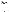chloroethene, only the laboratory and field tests provided information on the performance of the samplers because this compound could not be included in standpipe tests due to practical and health and safety considerations.

The standpipe tests were intended to simulate groundwater movement through a well. The standpipe was established in the laboratory and allowed full control of solute concentrations. The standpipe tests provided more realistic information than laboratory tests on the performance of the samplers, while minimizing the variability of the test system as compared to field systems.

The field tests provided information on the robustness of the sampling system under real groundwater conditions. In planning the field tests, varying aquifer and well conditions were targeted to consider factors such as groundwater flow, well construction, presence of other contaminants than the target solutes, and the impact of combined variation of robustness parameters.

The operational conditions during sampler testing in the standpipe and in the field included the following.

| <b>Sampling temperature</b> | Sampling depth            | Sample volume | <b>Sampling period</b> |
|-----------------------------|---------------------------|---------------|------------------------|
| $\sim$                      | meter below water surface | mL            | davs                   |
| 9-22                        | ა.5-5                     | 80-620        | 3-9                    |

| <b>Parameter</b> | Range         | <b>Parameter</b>                     | Range                             |
|------------------|---------------|--------------------------------------|-----------------------------------|
|                  | mg/L          |                                      | mg/L (unless otherwise indicated) |
| Calcium          | 76-250        | Chloride                             | 37-410                            |
| Magnesium        | $7.2 - 28$    | Fluoride                             | $0.25 - 0.91$                     |
| Potassium        | $1.6 - 5.2$   | Sulfate                              | 10-200                            |
| Sodium           | 17-160        | <b>Bicarbonate</b>                   | 295-575                           |
| Iron             | $0.09 - 7.1$  | NVOC <sup>1</sup> (DOC) <sup>2</sup> | $2.4 - 9.0$                       |
| Ammonium         | 0.016-0.89    | lonic strength                       | 0.011-0.028 moles/L               |
| Nitrate          | $< 0.5 - 3.8$ | pH                                   | $6.8 - 7.8$ (-)                   |

Water quality operational parameters included the following.

 $1$  Non-Volatile Organic Carbon;  $2$  Dissolved Organic Carbon

The concentrations of volatile organic contaminants tested ranged from below the limits of detection to the stated maximum linear range.

Applications for sampling at waste disposal sites and for groundwater baseline monitoring were not covered by the verification.

#### **Quality Assurance**

DHI provided internal review of documents and audit of test performance. Battelle ensured that the verification and tests were planned and conducted to satisfy the requirements of US ETV, including input and concurrence from its stakeholder group. Battelle quality assurance staff conducted a technical systems audit, a performance evaluation audit, and a data quality audit of at least 10% of the test data. Three technical experts provided independent expert review of planning, testing and reporting. The experts additionally reviewed the verification plan and report. This statement reflects the verification results after performing the above quality assurance actions.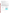## **TECHNOLOGY AND PRODUCT DESCRIPTION**

The following description of the GWS sampling system (the product) is based on information provided by the vendor and does not represent verified information.

The product combines:

- 1) Equilibrium based passive sampling;
- 2) Tracer salt derived calculation of the sampled water volume; and
- 3) Gas chromatography mass spectrometry (GC-MS) analysis of organic concentrations of concentrations collected on the sample cartridges.

The passive samplers and the subsequent analysis of the cartridges constitute the product. Main features of the product are:

- Sampling of groundwater flowing through a well screen in the aquifer without well purging
- Time integrated sampling over the exposure period
- Transportation of small sample cartridges to the laboratory after completed sampling and
- Laboratory based extraction and analysis of sampled compounds.

The product verified here was the Sorbisense GWS40 sampling system intended for sampling of shallow groundwater (product number 106-012-11) equipped with samplers for volatile organic compounds (products numbers 043-091-12, 043-101-12, 043-102-12). Analysis of the samplers was performed by ALcontrol under their ISO 17025 accreditation. The principles of the Sorbisense sampler and mounting of the GWS40 sampling system are depicted below.



The description of the sampler is based on information provided by the vendor.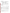## **VERIFICATION RESULTS**

| <b>Matrix</b> | <b>Effect</b>                 | Targets and verified performance summary                     |
|---------------|-------------------------------|--------------------------------------------------------------|
| Contaminated  | Measurement of                | Volatile organic compounds performance parameters:           |
| groundwater   | concentrations of volatile    |                                                              |
|               | organic contaminants (mono-,  | Detection limits: 2-70 µg/L                                  |
|               | di-, tri- and $-$             | Linear maximum: 1,200-1,900 µg/L                             |
|               | tetrachloroethenes, benzene,  | Accuracy: 65-153%                                            |
|               | toluene, ethylbenzene and     | Robustness: 67-121%                                          |
|               | xylenes (BTEX) and methyl-    | Precision, repeatability: 8.5-11% relative standard          |
|               | tert-butylether (MTBE))       | deviation                                                    |
|               |                               | Precision, reproducibility: 38-95% relative standard         |
|               | <b>Additional parameters:</b> | deviation                                                    |
|               | User manual                   | Positive discrepancies <sup>1</sup> : 0-20% of field samples |
|               | Product cost                  | Negative discrepancies <sup>2</sup> : 0-20% of field samples |
|               | Health and safety             |                                                              |

 $1$  Positive discrepancy: sampler finds measurable concentration when average of reference samples are below the sampler limit of detection.

 $2\%$ Negative discrepancy: sampler does not find measurable concentration when average of the reference samples are above sampler limit of detection.

#### **Performance Parameters**

| Compound                 | Limit of<br>detection | <b>Precision</b> |                 | <b>Trueness</b> | Range of<br>application | <b>Robust-</b><br>ness | Discre-<br>pancies |
|--------------------------|-----------------------|------------------|-----------------|-----------------|-------------------------|------------------------|--------------------|
|                          |                       |                  |                 |                 |                         |                        | positive/          |
|                          |                       |                  |                 |                 |                         |                        | negative           |
|                          | LoD                   | Repeatability    | Reproducibility |                 | LoD-                    |                        |                    |
|                          | $\mu$ g/L             | %                | %               | $\%$            | $\mu$ g/L               | %                      | $\frac{9}{6}$      |
| Chloroethene             | $30$                  | >10              | $51$            | 65              | n.d. <sup>1</sup>       | n.d. <sup>1</sup>      | 0/0                |
| 1,1-Dichloroethene       | $90$                  | 11               | 51              | 100             | 1,900                   | 78-111                 | 0/0                |
| trans-1,2-dichloroethene | 4                     | 11               | 45              | 101             | 1,900                   | 94-121                 | 0/0                |
| cis-1,2-Dichloroethenes  | 4                     | 10.2             | 60              | 129             | 1,500                   | 85-114                 | 0/0                |
| Trichloroethene          | 70                    | 9.1              | 42              | 110             | 1,700                   | 80-120                 | 0/7                |
| Tetrachloroethene        | $\overline{2}$        | 8.5              | 38              | 137             | 1,200                   | 90-106                 | 0/0                |
| Benzene                  | 3                     | 10.0             | 70              | 135             | 1,600                   | 80-108                 | 13/0               |
| Toluene                  | 4                     | 9.5              | 59              | 131             | 1,500                   | 76-107                 | 13/0               |
| Ethylbenzene             | 5                     | 8.6              | 46              | 153             | 1,600                   | 75-101                 | 20/0               |
| o-Xylene                 | 4                     | 8.8              | 50              | 139             | 1,400                   | 72-101                 | 0/0                |
| m/p-Xylenes              | 3                     | 8.5              | 42              | 138             | 1,300                   | 78-102                 | 20/20              |
| <b>MTBE</b>              | 6                     | 10.6             | 95              | 147             | 1,700                   | 67-100                 | 0/0                |

 $<sup>1</sup>$  no data</sup>

The user manuals for the product were in general complete, but did not include a description of system limitations, maintenance and storage.

On review of hazardous chemicals or other risks associated with the use of the system, no risk to occupational health and the environment during product operation was identified, compared to conventional groundwater sampling.